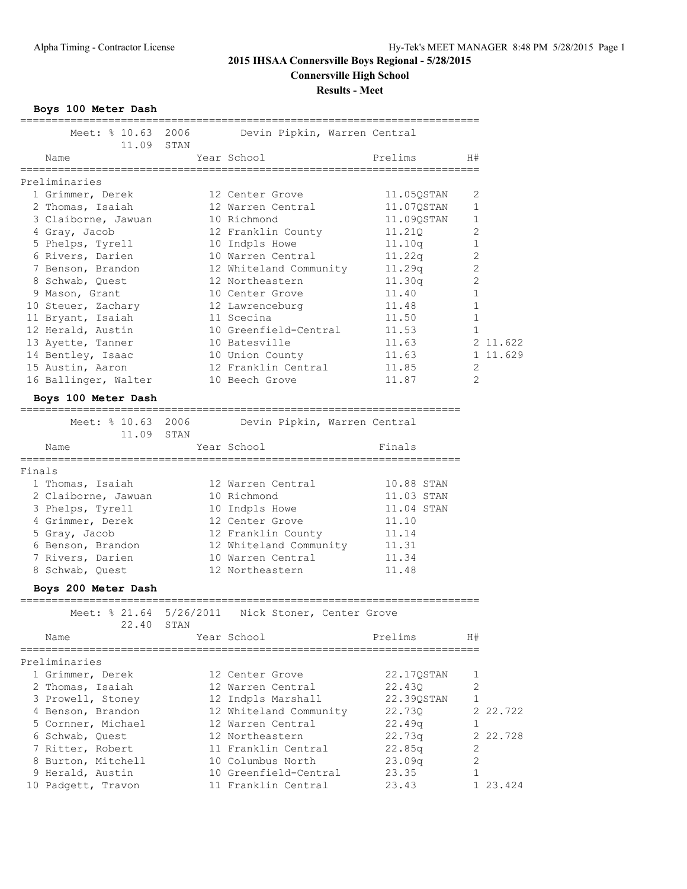**Results - Meet**

**Boys 100 Meter Dash**

| Meet: % 10.63 2006<br>11.09 STAN        |      | Devin Pipkin, Warren Central                      |            |                |          |
|-----------------------------------------|------|---------------------------------------------------|------------|----------------|----------|
| Name                                    |      | Year School                                       | Prelims    | H#             |          |
| Preliminaries                           |      |                                                   |            |                |          |
| 1 Grimmer, Derek                        |      | 12 Center Grove                                   | 11.05QSTAN | 2              |          |
| 2 Thomas, Isaiah                        |      | 12 Warren Central                                 | 11.07QSTAN | 1              |          |
| 3 Claiborne, Jawuan                     |      | 10 Richmond                                       | 11.09QSTAN | 1              |          |
| 4 Gray, Jacob                           |      | 12 Franklin County                                | 11,210     | 2              |          |
| 5 Phelps, Tyrell                        |      | 10 Indpls Howe                                    | 11.10q     | $\mathbf{1}$   |          |
| 6 Rivers, Darien                        |      | 10 Warren Central                                 | 11.22q     | $\sqrt{2}$     |          |
| 7 Benson, Brandon                       |      | 12 Whiteland Community                            | 11.29q     | $\mathbf{2}$   |          |
| 8 Schwab, Quest                         |      | 12 Northeastern                                   | 11.30q     | $\mathbf{2}$   |          |
| 9 Mason, Grant                          |      | 10 Center Grove                                   | 11.40      | 1              |          |
| 10 Steuer, Zachary                      |      | 12 Lawrenceburg                                   | 11.48      | $\mathbf 1$    |          |
| 11 Bryant, Isaiah                       |      | 11 Scecina                                        | 11.50      | $\mathbf 1$    |          |
| 12 Herald, Austin                       |      | 10 Greenfield-Central                             | 11.53      | $\mathbf{1}$   |          |
|                                         |      | 10 Batesville                                     | 11.63      |                | 2 11.622 |
| 13 Ayette, Tanner                       |      |                                                   |            |                | 1 11.629 |
| 14 Bentley, Isaac                       |      | 10 Union County                                   | 11.63      |                |          |
| 15 Austin, Aaron                        |      | 12 Franklin Central                               | 11.85      | 2              |          |
| 16 Ballinger, Walter                    |      | 10 Beech Grove                                    | 11.87      | $\mathfrak{D}$ |          |
| Boys 100 Meter Dash                     |      |                                                   |            |                |          |
| Meet: % 10.63 2006                      |      | Devin Pipkin, Warren Central                      |            |                |          |
| 11.09 STAN                              |      |                                                   |            |                |          |
| Name                                    |      | Year School                                       | Finals     |                |          |
|                                         |      |                                                   |            |                |          |
| Finals                                  |      |                                                   |            |                |          |
| 1 Thomas, Isaiah                        |      | 12 Warren Central                                 | 10.88 STAN |                |          |
| 2 Claiborne, Jawuan                     |      | 10 Richmond                                       | 11.03 STAN |                |          |
| 3 Phelps, Tyrell                        |      | 10 Indpls Howe                                    | 11.04 STAN |                |          |
| 4 Grimmer, Derek                        |      | 12 Center Grove                                   | 11.10      |                |          |
| 5 Gray, Jacob                           |      | 12 Franklin County                                | 11.14      |                |          |
| 6 Benson, Brandon                       |      | 12 Whiteland Community                            | 11.31      |                |          |
| 7 Rivers, Darien                        |      | 10 Warren Central                                 | 11.34      |                |          |
| 8 Schwab, Quest                         |      | 12 Northeastern                                   | 11.48      |                |          |
| Boys 200 Meter Dash                     |      |                                                   |            |                |          |
|                                         |      | Meet: % 21.64 5/26/2011 Nick Stoner, Center Grove |            |                |          |
| 22.40                                   | STAN |                                                   |            |                |          |
| Name                                    |      | Year School                                       | Prelims    | H#             |          |
| ======================<br>Preliminaries |      |                                                   |            |                |          |
| 1 Grimmer, Derek                        |      | 12 Center Grove                                   | 22.17QSTAN | 1              |          |
| 2 Thomas, Isaiah                        |      | 12 Warren Central                                 | 22.430     | $\mathbf{2}$   |          |
| 3 Prowell, Stoney                       |      | 12 Indpls Marshall                                | 22.39QSTAN | 1              |          |
| 4 Benson, Brandon                       |      | 12 Whiteland Community                            | 22.73Q     |                | 2 22.722 |
| 5 Cornner, Michael                      |      | 12 Warren Central                                 | 22.49q     | 1              |          |
| 6 Schwab, Quest                         |      | 12 Northeastern                                   | 22.73q     |                | 2 22.728 |
| 7 Ritter, Robert                        |      | 11 Franklin Central                               | 22.85q     | 2              |          |
| 8 Burton, Mitchell                      |      | 10 Columbus North                                 | 23.09q     | $\mathbf{2}$   |          |
| 9 Herald, Austin                        |      | 10 Greenfield-Central                             | 23.35      | 1              |          |
| 10 Padgett, Travon                      |      | 11 Franklin Central                               | 23.43      |                | 1 23.424 |
|                                         |      |                                                   |            |                |          |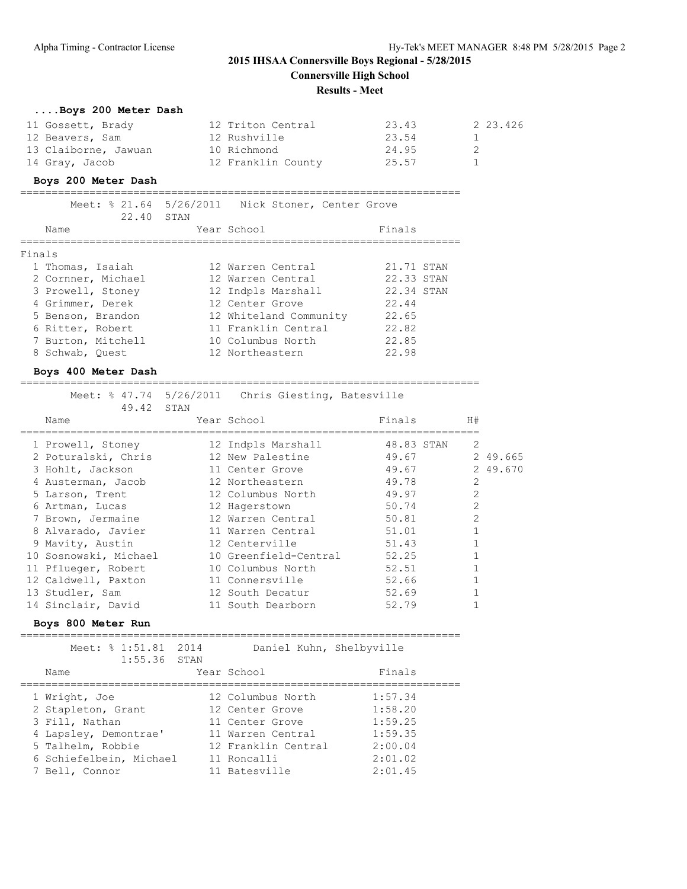#### **Results - Meet**

| Boys 200 Meter Dash  |                    |       |          |
|----------------------|--------------------|-------|----------|
| 11 Gossett, Brady    | 12 Triton Central  | 23.43 | 2 23.426 |
| 12 Beavers, Sam      | 12 Rushville       | 23.54 |          |
| 13 Claiborne, Jawuan | 10 Richmond        | 24.95 |          |
| 14 Gray, Jacob       | 12 Franklin County | 25.57 |          |

#### **Boys 200 Meter Dash**

======================================================================

| Name               |               |                                        |                                                                                                                         | Finals                                        |                                                                     |
|--------------------|---------------|----------------------------------------|-------------------------------------------------------------------------------------------------------------------------|-----------------------------------------------|---------------------------------------------------------------------|
| Finals             |               |                                        |                                                                                                                         |                                               |                                                                     |
| 1 Thomas, Isaiah   |               |                                        |                                                                                                                         |                                               |                                                                     |
| 2 Cornner, Michael |               |                                        |                                                                                                                         |                                               |                                                                     |
| 3 Prowell, Stoney  |               |                                        |                                                                                                                         |                                               |                                                                     |
| 4 Grimmer, Derek   |               |                                        |                                                                                                                         | 22.44                                         |                                                                     |
| 5 Benson, Brandon  |               |                                        |                                                                                                                         | 22.65                                         |                                                                     |
| 6 Ritter, Robert   |               |                                        |                                                                                                                         | 22.82                                         |                                                                     |
| 7 Burton, Mitchell |               |                                        |                                                                                                                         | 22.85                                         |                                                                     |
| 8 Schwab, Ouest    |               |                                        |                                                                                                                         | 22.98                                         |                                                                     |
|                    | 22.40<br>STAN | Meet: % 21.64 5/26/2011<br>Year School | 12 Warren Central<br>12 Warren Central<br>12 Indpls Marshall<br>12 Center Grove<br>10 Columbus North<br>12 Northeastern | 12 Whiteland Community<br>11 Franklin Central | Nick Stoner, Center Grove<br>21.71 STAN<br>22.33 STAN<br>22.34 STAN |

### **Boys 400 Meter Dash**

=========================================================================

| 49.42 STAN            | Meet: % 47.74 5/26/2011 Chris Giesting, Batesville |            |                |          |
|-----------------------|----------------------------------------------------|------------|----------------|----------|
| Name                  | Year School                                        | Finals     | H#             |          |
| 1 Prowell, Stoney     | 12 Indpls Marshall                                 | 48.83 STAN | 2              |          |
| 2 Poturalski, Chris   | 12 New Palestine                                   | 49.67      |                | 2 49.665 |
| 3 Hohlt, Jackson      | 11 Center Grove                                    | 49.67      |                | 2 49.670 |
| 4 Austerman, Jacob    | 12 Northeastern                                    | 49.78      | $\mathfrak{D}$ |          |
| 5 Larson, Trent       | 12 Columbus North                                  | 49.97      | $\mathfrak{D}$ |          |
| 6 Artman, Lucas       | 12 Hagerstown                                      | 50.74      | $\mathfrak{D}$ |          |
| 7 Brown, Jermaine     | 12 Warren Central                                  | 50.81      | $\overline{2}$ |          |
| 8 Alvarado, Javier    | 11 Warren Central                                  | 51.01      |                |          |
| 9 Mavity, Austin      | 12 Centerville                                     | 51.43      |                |          |
| 10 Sosnowski, Michael | 10 Greenfield-Central                              | 52.25      |                |          |
| 11 Pflueger, Robert   | 10 Columbus North                                  | 52.51      |                |          |
| 12 Caldwell, Paxton   | 11 Connersville                                    | 52.66      |                |          |
| 13 Studler, Sam       | 12 South Decatur                                   | 52.69      |                |          |
| 14 Sinclair, David    | 11 South Dearborn                                  | 52.79      |                |          |

#### **Boys 800 Meter Run**

======================================================================

| Meet: % 1:51.81<br>$1:55.36$ STAN                                                                   | 2014 | Daniel Kuhn, Shelbyville                                                                            |                                                     |
|-----------------------------------------------------------------------------------------------------|------|-----------------------------------------------------------------------------------------------------|-----------------------------------------------------|
| Name                                                                                                |      | Year School                                                                                         | Finals                                              |
| 1 Wright, Joe<br>2 Stapleton, Grant<br>3 Fill, Nathan<br>4 Lapsley, Demontrae'<br>5 Talhelm, Robbie |      | 12 Columbus North<br>12 Center Grove<br>11 Center Grove<br>11 Warren Central<br>12 Franklin Central | 1:57.34<br>1:58.20<br>1:59.25<br>1:59.35<br>2:00.04 |
| 6 Schiefelbein, Michael<br>7 Bell, Connor                                                           |      | 11 Roncalli<br>11 Batesville                                                                        | 2:01.02<br>2:01.45                                  |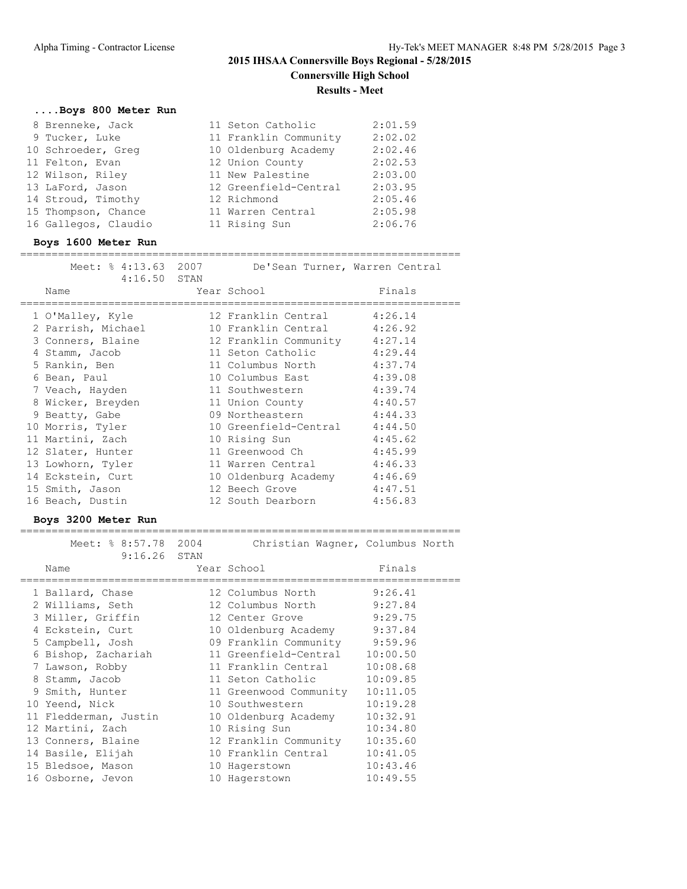## **....Boys 800 Meter Run**

| 8 Brenneke, Jack     | 11 Seton Catholic     | 2:01.59 |
|----------------------|-----------------------|---------|
| 9 Tucker, Luke       | 11 Franklin Community | 2:02.02 |
| 10 Schroeder, Greg   | 10 Oldenburg Academy  | 2:02.46 |
| 11 Felton, Evan      | 12 Union County       | 2:02.53 |
| 12 Wilson, Riley     | 11 New Palestine      | 2:03.00 |
| 13 LaFord, Jason     | 12 Greenfield-Central | 2:03.95 |
| 14 Stroud, Timothy   | 12 Richmond           | 2:05.46 |
| 15 Thompson, Chance  | 11 Warren Central     | 2:05.98 |
| 16 Gallegos, Claudio | 11 Rising Sun         | 2:06.76 |

#### **Boys 1600 Meter Run**

#### ======================================================================

| Meet: % 4:13.63 2007 | De'Sean Turner, Warren Central |         |
|----------------------|--------------------------------|---------|
| $4:16.50$ STAN       |                                |         |
| Name                 | Year School                    | Finals  |
|                      |                                |         |
| 1 O'Malley, Kyle     | 12 Franklin Central            | 4:26.14 |
| 2 Parrish, Michael   | 10 Franklin Central 4:26.92    |         |
| 3 Conners, Blaine    | 12 Franklin Community 4:27.14  |         |
| 4 Stamm, Jacob       | 11 Seton Catholic 4:29.44      |         |
| 5 Rankin, Ben        | 11 Columbus North 4:37.74      |         |
| 6 Bean, Paul         | 10 Columbus East 4:39.08       |         |
| 7 Veach, Hayden      | 11 Southwestern 4:39.74        |         |
| 8 Wicker, Breyden    | 11 Union County 4:40.57        |         |
| 9 Beatty, Gabe       | 09 Northeastern 4:44.33        |         |
| 10 Morris, Tyler     | 10 Greenfield-Central 4:44.50  |         |
| 11 Martini, Zach     | 10 Rising Sun                  | 4:45.62 |
| 12 Slater, Hunter    | 11 Greenwood Ch 4:45.99        |         |
| 13 Lowhorn, Tyler    | 11 Warren Central 4:46.33      |         |
| 14 Eckstein, Curt    | 10 Oldenburg Academy 4:46.69   |         |
| 15 Smith, Jason      | 12 Beech Grove                 | 4:47.51 |
| 16 Beach, Dustin     | 12 South Dearborn 4:56.83      |         |
|                      |                                |         |

### **Boys 3200 Meter Run**

| Meet: % 8:57.78 2004<br>$9:16.26$ STAN<br>Name | Christian Wagner, Columbus North<br>Year School | Finals   |
|------------------------------------------------|-------------------------------------------------|----------|
| 1 Ballard, Chase                               | 12 Columbus North                               | 9:26.41  |
| 2 Williams, Seth                               | 12 Columbus North 9:27.84                       |          |
| 3 Miller, Griffin                              | 12 Center Grove 9:29.75                         |          |
| 4 Eckstein, Curt                               | 10 Oldenburg Academy 9:37.84                    |          |
| 5 Campbell, Josh                               | 09 Franklin Community 9:59.96                   |          |
| 6 Bishop, Zachariah                            | 11 Greenfield-Central                           | 10:00.50 |
| 7 Lawson, Robby                                | 11 Franklin Central                             | 10:08.68 |
| 8 Stamm, Jacob                                 | 11 Seton Catholic                               | 10:09.85 |
| 9 Smith, Hunter                                | 11 Greenwood Community                          | 10:11.05 |
| 10 Yeend, Nick                                 | 10 Southwestern                                 | 10:19.28 |
| 11 Fledderman, Justin                          | 10 Oldenburg Academy                            | 10:32.91 |
| 12 Martini, Zach                               | 10 Rising Sun                                   | 10:34.80 |
| 13 Conners, Blaine                             | 12 Franklin Community                           | 10:35.60 |
| 14 Basile, Elijah                              | 10 Franklin Central                             | 10:41.05 |
| 15 Bledsoe, Mason                              | 10 Hagerstown                                   | 10:43.46 |
| 16 Osborne, Jevon                              | 10 Hagerstown                                   | 10:49.55 |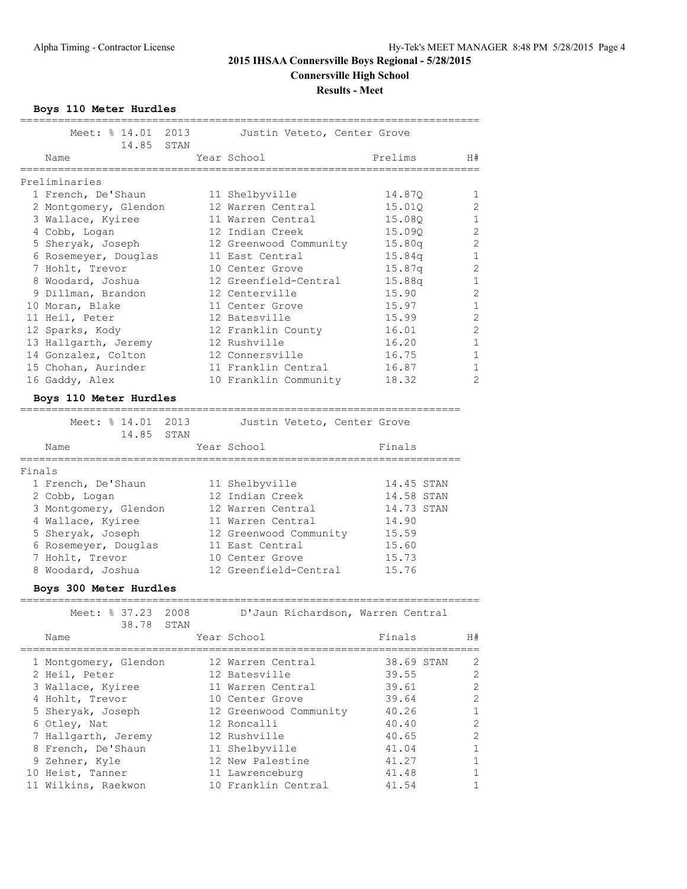**Boys 110 Meter Hurdles**

|        | Meet: % 14.01 2013                         |      | Justin Veteto, Center Grove               |                  |                               |
|--------|--------------------------------------------|------|-------------------------------------------|------------------|-------------------------------|
|        | 14.85                                      | STAN |                                           |                  |                               |
|        | Name                                       |      | Year School                               | Prelims          | H#                            |
|        | Preliminaries                              |      |                                           |                  |                               |
|        | 1 French, De'Shaun                         |      |                                           |                  |                               |
|        |                                            |      | 11 Shelbyville<br>12 Warren Central       | 14.87Q           | 1<br>2                        |
|        | 2 Montgomery, Glendon<br>3 Wallace, Kyiree |      | 11 Warren Central                         | 15.01Q<br>15.08Q | $\mathbf 1$                   |
|        |                                            |      | 12 Indian Creek                           | 15.09Q           | $\mathbf{2}$                  |
|        | 4 Cobb, Logan<br>5 Sheryak, Joseph         |      |                                           | 15.80q           | $\mathbf{2}$                  |
|        | 6 Rosemeyer, Douglas                       |      | 12 Greenwood Community<br>11 East Central | 15.84q           | 1                             |
|        |                                            |      | 10 Center Grove                           | 15.87q           | $\mathbf{2}$                  |
|        | 7 Hohlt, Trevor                            |      | 12 Greenfield-Central                     |                  | $\mathbf 1$                   |
|        | 8 Woodard, Joshua<br>9 Dillman, Brandon    |      | 12 Centerville                            | 15.88q<br>15.90  | $\overline{2}$                |
|        |                                            |      |                                           |                  |                               |
|        | 10 Moran, Blake                            |      | 11 Center Grove                           | 15.97            | $\mathbf 1$<br>$\overline{2}$ |
|        | 11 Heil, Peter                             |      | 12 Batesville                             | 15.99            | $\overline{2}$                |
|        | 12 Sparks, Kody                            |      | 12 Franklin County                        | 16.01            |                               |
|        | 13 Hallgarth, Jeremy                       |      | 12 Rushville                              | 16.20            | $\mathbf 1$                   |
|        | 14 Gonzalez, Colton                        |      | 12 Connersville                           | 16.75            | $\mathbf 1$                   |
|        | 15 Chohan, Aurinder                        |      | 11 Franklin Central                       | 16.87            | 1                             |
|        | 16 Gaddy, Alex                             |      | 10 Franklin Community                     | 18.32            | $\overline{2}$                |
|        | Boys 110 Meter Hurdles                     |      |                                           |                  |                               |
|        |                                            |      |                                           |                  |                               |
|        | Meet: % 14.01 2013<br>14.85                | STAN | Justin Veteto, Center Grove               |                  |                               |
|        | Name                                       |      | Year School                               | Finals           |                               |
|        |                                            |      |                                           |                  |                               |
| Finals |                                            |      |                                           |                  |                               |
|        | 1 French, De'Shaun                         |      | 11 Shelbyville                            | 14.45 STAN       |                               |
|        | 2 Cobb, Logan                              |      | 12 Indian Creek                           | 14.58 STAN       |                               |
|        | 3 Montgomery, Glendon                      |      | 12 Warren Central                         | 14.73 STAN       |                               |
|        | 4 Wallace, Kyiree                          |      | 11 Warren Central                         | 14.90            |                               |
|        | 5 Sheryak, Joseph                          |      | 12 Greenwood Community                    | 15.59            |                               |
|        | 6 Rosemeyer, Douglas                       |      | 11 East Central                           | 15.60            |                               |
|        | 7 Hohlt, Trevor                            |      | 10 Center Grove                           | 15.73            |                               |
|        | 8 Woodard, Joshua                          |      | 12 Greenfield-Central                     | 15.76            |                               |
|        |                                            |      |                                           |                  |                               |
|        | Boys 300 Meter Hurdles                     |      |                                           |                  |                               |
|        | Meet: % 37.23                              | 2008 | D'Jaun Richardson, Warren Central         |                  |                               |
|        | 38.78                                      | STAN |                                           |                  |                               |
|        | Name                                       |      | Year School                               | Finals           | H#                            |
|        | 1 Montgomery, Glendon                      |      | 12 Warren Central                         | 38.69 STAN       | 2                             |
|        | 2 Heil, Peter                              |      | 12 Batesville                             | 39.55            | 2                             |
|        |                                            |      | 11 Warren Central                         | 39.61            | 2                             |
|        | 3 Wallace, Kyiree<br>4 Hohlt, Trevor       |      | 10 Center Grove                           | 39.64            | $\overline{2}$                |
|        |                                            |      |                                           |                  | 1                             |
|        | 5 Sheryak, Joseph<br>6 Otley, Nat          |      | 12 Greenwood Community<br>12 Roncalli     | 40.26<br>40.40   | 2                             |
|        | 7 Hallgarth, Jeremy                        |      | 12 Rushville                              | 40.65            | $\mathbf{2}$                  |
|        | 8 French, De'Shaun                         |      | 11 Shelbyville                            | 41.04            | 1                             |
|        |                                            |      |                                           |                  |                               |

 9 Zehner, Kyle 12 New Palestine 41.27 1 10 Heist, Tanner 11 Lawrenceburg 10 41.48 1 11 Wilkins, Raekwon 10 Franklin Central 41.54 1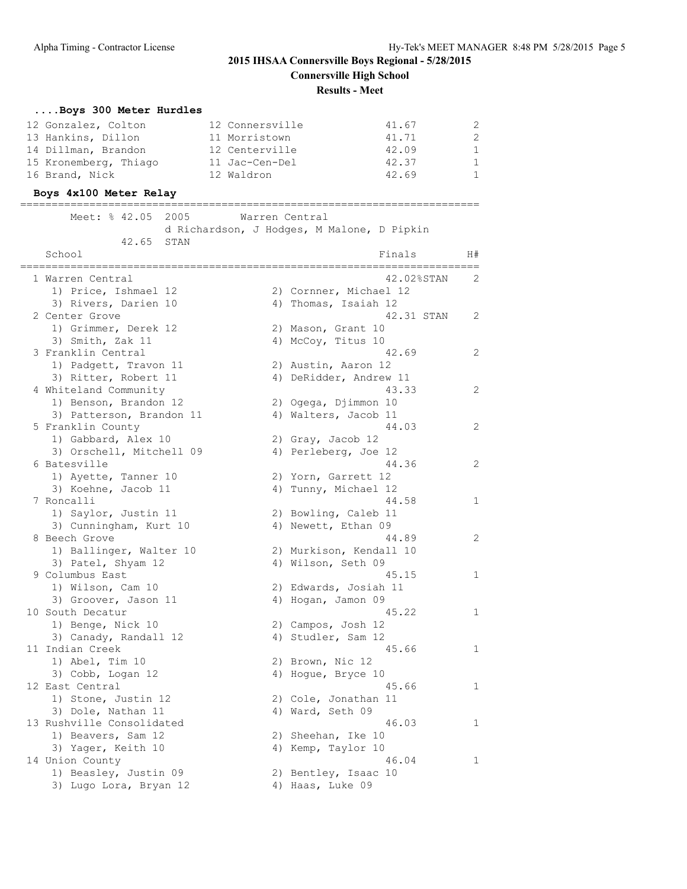#### **Results - Meet**

## **....Boys 300 Meter Hurdles**

| 12 Gonzalez, Colton   | 12 Connersville | 41.67 | 2            |
|-----------------------|-----------------|-------|--------------|
| 13 Hankins, Dillon    | 11 Morristown   | 41.71 | 2            |
| 14 Dillman, Brandon   | 12 Centerville  | 42.09 | $\mathbf{1}$ |
| 15 Kronemberg, Thiago | 11 Jac-Cen-Del  | 42.37 | $\mathbf{1}$ |
| 16 Brand, Nick        | 12 Waldron      | 42.69 | 1            |

#### **Boys 4x100 Meter Relay** =========================================================================

| Meet: % 42.05                                   | 2005<br>d Richardson, J Hodges, M Malone, D Pipkin | Warren Central                              |            |                |
|-------------------------------------------------|----------------------------------------------------|---------------------------------------------|------------|----------------|
| 42.65                                           | STAN                                               |                                             |            |                |
| School                                          |                                                    |                                             | Finals     | H#             |
| 1 Warren Central                                |                                                    |                                             | 42.02%STAN | 2              |
| 1) Price, Ishmael 12                            |                                                    | 2) Cornner, Michael 12                      |            |                |
| 3) Rivers, Darien 10                            |                                                    | 4) Thomas, Isaiah 12                        |            |                |
| 2 Center Grove                                  |                                                    |                                             | 42.31 STAN | $\overline{c}$ |
| 1) Grimmer, Derek 12                            |                                                    | 2) Mason, Grant 10                          |            |                |
| 3) Smith, Zak 11                                |                                                    | 4) McCoy, Titus 10                          |            |                |
| 3 Franklin Central                              |                                                    |                                             | 42.69      | 2              |
| 1) Padgett, Travon 11                           |                                                    | 2) Austin, Aaron 12                         |            |                |
| 3) Ritter, Robert 11                            |                                                    | 4) DeRidder, Andrew 11                      |            |                |
| 4 Whiteland Community                           |                                                    |                                             | 43.33      | 2              |
| 1) Benson, Brandon 12                           |                                                    | 2) Ogega, Djimmon 10                        |            |                |
| 3) Patterson, Brandon 11                        |                                                    | 4) Walters, Jacob 11                        |            |                |
| 5 Franklin County                               |                                                    |                                             | 44.03      | 2              |
| 1) Gabbard, Alex 10                             |                                                    | 2) Gray, Jacob 12                           |            |                |
| 3) Orschell, Mitchell 09                        |                                                    | 4) Perleberg, Joe 12                        |            | 2              |
| 6 Batesville<br>1) Ayette, Tanner 10            |                                                    |                                             | 44.36      |                |
| 3) Koehne, Jacob 11                             |                                                    | 2) Yorn, Garrett 12<br>4) Tunny, Michael 12 |            |                |
| 7 Roncalli                                      |                                                    |                                             | 44.58      | 1              |
| 1) Saylor, Justin 11                            |                                                    | 2) Bowling, Caleb 11                        |            |                |
| 3) Cunningham, Kurt 10                          |                                                    | 4) Newett, Ethan 09                         |            |                |
| 8 Beech Grove                                   |                                                    |                                             | 44.89      | $\overline{c}$ |
| 1) Ballinger, Walter 10                         |                                                    | 2) Murkison, Kendall 10                     |            |                |
| 3) Patel, Shyam 12                              |                                                    | 4) Wilson, Seth 09                          |            |                |
| 9 Columbus East                                 |                                                    |                                             | 45.15      | 1              |
| 1) Wilson, Cam 10                               |                                                    | 2) Edwards, Josiah 11                       |            |                |
| 3) Groover, Jason 11                            |                                                    | 4) Hogan, Jamon 09                          |            |                |
| 10 South Decatur                                |                                                    |                                             | 45.22      | 1              |
| 1) Benge, Nick 10                               |                                                    | 2) Campos, Josh 12                          |            |                |
| 3) Canady, Randall 12                           |                                                    | 4) Studler, Sam 12                          |            |                |
| 11 Indian Creek                                 |                                                    |                                             | 45.66      | 1              |
| 1) Abel, Tim 10                                 |                                                    | 2) Brown, Nic 12                            |            |                |
| 3) Cobb, Logan 12                               |                                                    | 4) Hogue, Bryce 10                          |            |                |
| 12 East Central                                 |                                                    |                                             | 45.66      | 1              |
| 1) Stone, Justin 12                             |                                                    | 2) Cole, Jonathan 11                        |            |                |
| 3) Dole, Nathan 11                              |                                                    | 4) Ward, Seth 09                            |            |                |
| 13 Rushville Consolidated                       |                                                    |                                             | 46.03      | $\mathbf{1}$   |
| 1) Beavers, Sam 12                              |                                                    | 2) Sheehan, Ike 10                          |            |                |
| 3) Yager, Keith 10                              |                                                    | 4) Kemp, Taylor 10                          |            |                |
| 14 Union County                                 |                                                    |                                             | 46.04      | 1              |
| 1) Beasley, Justin 09<br>3) Lugo Lora, Bryan 12 |                                                    | 2) Bentley, Isaac 10<br>4) Haas, Luke 09    |            |                |
|                                                 |                                                    |                                             |            |                |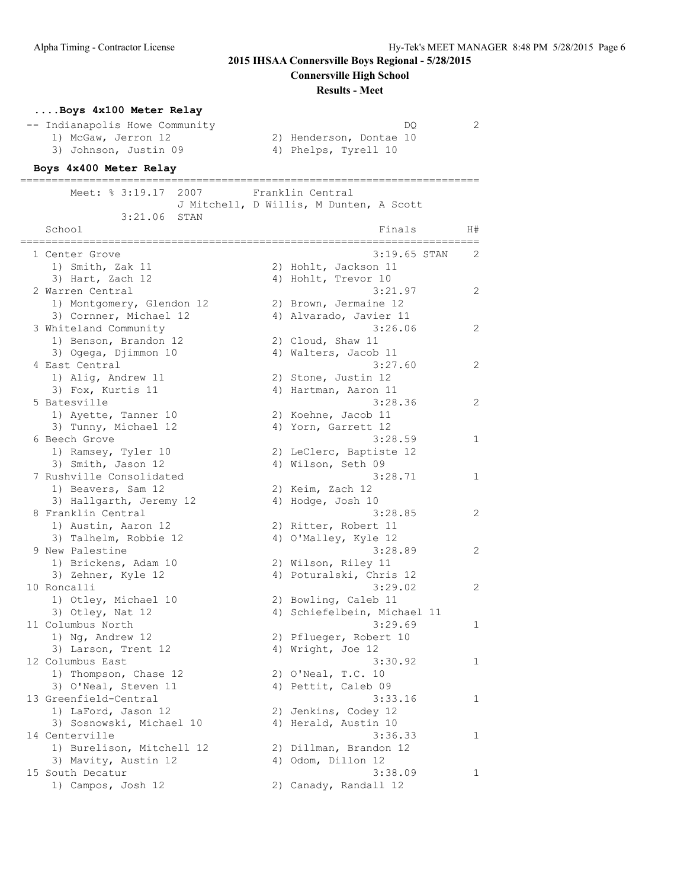**Connersville High School**

#### **Results - Meet**

### **....Boys 4x100 Meter Relay**

|  | -- Indianapolis Howe Community |      |  |
|--|--------------------------------|------|--|
|  | 1) McGaw, Jerron 12            | 2) H |  |
|  | 3) Johnson, Justin 09          | 4) F |  |

 $DQ$  2 2) Henderson, Dontae 10<br>4) Phelps, Tyrell 10

#### **Boys 4x400 Meter Relay**

========================================================================= Meet: % 3:19.17 2007 Franklin Central J Mitchell, D Willis, M Dunten, A Scott 3:21.06 STAN School and H#  $\overline{F}$  and  $\overline{F}$  and  $\overline{F}$  and  $\overline{F}$  and  $\overline{F}$  and  $\overline{F}$  and  $\overline{F}$  and  $\overline{F}$  and  $\overline{F}$  and  $\overline{F}$  and  $\overline{F}$  and  $\overline{F}$  and  $\overline{F}$  and  $\overline{F}$  and  $\overline{F}$  and  $\overline{F}$  and ========================================================================= 1 Center Grove 3:19.65 STAN 2 1) Smith, Zak 11 2) Hohlt, Jackson 11 3) Hart, Zach 12 4) Hohlt, Trevor 10 2 Warren Central 3:21.97 2 1) Montgomery, Glendon 12 2) Brown, Jermaine 12 3) Cornner, Michael 12 4) Alvarado, Javier 11 3 Whiteland Community 3:26.06 2 1) Benson, Brandon 12 2) Cloud, Shaw 11 3) Ogega, Djimmon 10 10 4) Walters, Jacob 11 4 East Central 3:27.60 2 1) Alig, Andrew 11 2) Stone, Justin 12 3) Fox, Kurtis 11 (4) Hartman, Aaron 11 5 Batesville 2 and 2012 12:28:36 1) Ayette, Tanner 10 and 2) Koehne, Jacob 11 3) Tunny, Michael 12 (4) Yorn, Garrett 12 6 Beech Grove 3:28.59 1 1) Ramsey, Tyler 10 2) LeClerc, Baptiste 12 3) Smith, Jason 12 4) Wilson, Seth 09 7 Rushville Consolidated 1 and 1 3:28.71 1 1 1) Beavers, Sam 12 2) Keim, Zach 12 3) Hallgarth, Jeremy 12 (4) Hodge, Josh 10 8 Franklin Central 2012 12:28.85 2 1) Austin, Aaron 12 2) Ritter, Robert 11 3) Talhelm, Robbie 12 (4) O'Malley, Kyle 12 9 New Palestine 3:28.89 2 1) Brickens, Adam 10 2) Wilson, Riley 11 3) Zehner, Kyle 12 4) Poturalski, Chris 12 10 Roncalli 3:29.02 2 1) Otley, Michael 10 2) Bowling, Caleb 11 3) Otley, Nat 12 4) Schiefelbein, Michael 11 11 Columbus North 3:29.69 1 1) Ng, Andrew 12 2) Pflueger, Robert 10 3) Larson, Trent 12 4) Wright, Joe 12 12 Columbus East 12 Columbus East 1 1) Thompson, Chase 12 2) O'Neal, T.C. 10 3) O'Neal, Steven 11 (4) Pettit, Caleb 09 13 Greenfield-Central 3:33.16 1 1) LaFord, Jason 12 2) Jenkins, Codey 12 3) Sosnowski, Michael 10 (4) Herald, Austin 10 14 Centerville 2012 12:36.33 1 1) Burelison, Mitchell 12 2) Dillman, Brandon 12 3) Mavity, Austin 12 (4) Odom, Dillon 12 15 South Decatur 3:38.09 1 1) Campos, Josh 12 2) Canady, Randall 12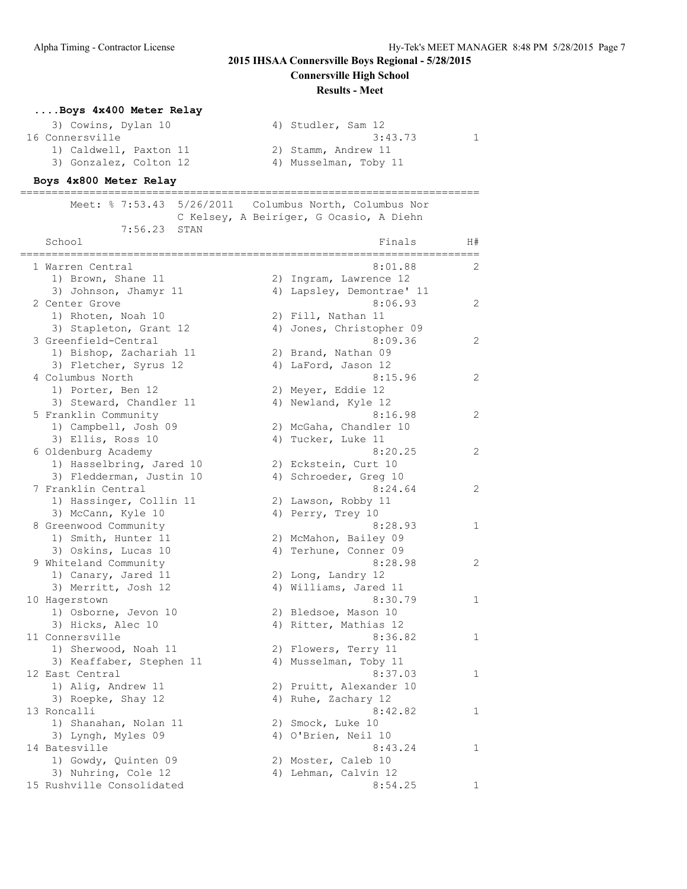**Connersville High School**

#### **Results - Meet**

## **....Boys 4x400 Meter Relay**

| 3) Cowins, Dylan 10    | 4) Studler, Sam 12    |  |
|------------------------|-----------------------|--|
| 16 Connersville        | 3:43.73               |  |
| 1) Caldwell, Paxton 11 | 2) Stamm, Andrew 11   |  |
| 3) Gonzalez, Colton 12 | 4) Musselman, Toby 11 |  |

#### **Boys 4x800 Meter Relay**

========================================================================= Meet: % 7:53.43 5/26/2011 Columbus North, Columbus Nor C Kelsey, A Beiriger, G Ocasio, A Diehn 7:56.23 STAN

| School                    | Finals                    | H#           |
|---------------------------|---------------------------|--------------|
| 1 Warren Central          | 8:01.88                   | 2            |
| 1) Brown, Shane 11        | 2) Ingram, Lawrence 12    |              |
| 3) Johnson, Jhamyr 11     | 4) Lapsley, Demontrae' 11 |              |
| 2 Center Grove            | 8:06.93                   | 2            |
| 1) Rhoten, Noah 10        | 2) Fill, Nathan 11        |              |
| 3) Stapleton, Grant 12    | 4) Jones, Christopher 09  |              |
| 3 Greenfield-Central      | 8:09.36                   | 2            |
| 1) Bishop, Zachariah 11   | 2) Brand, Nathan 09       |              |
| 3) Fletcher, Syrus 12     | 4) LaFord, Jason 12       |              |
| 4 Columbus North          | 8:15.96                   | 2            |
| 1) Porter, Ben 12         | 2) Meyer, Eddie 12        |              |
| 3) Steward, Chandler 11   | 4) Newland, Kyle 12       |              |
| 5 Franklin Community      | 8:16.98                   | 2            |
| 1) Campbell, Josh 09      | 2) McGaha, Chandler 10    |              |
| 3) Ellis, Ross 10         | 4) Tucker, Luke 11        |              |
| 6 Oldenburg Academy       | 8:20.25                   | 2            |
| 1) Hasselbring, Jared 10  | 2) Eckstein, Curt 10      |              |
| 3) Fledderman, Justin 10  | 4) Schroeder, Greg 10     |              |
| 7 Franklin Central        | 8:24.64                   | 2            |
| 1) Hassinger, Collin 11   | 2) Lawson, Robby 11       |              |
| 3) McCann, Kyle 10        | 4) Perry, Trey 10         |              |
| 8 Greenwood Community     | 8:28.93                   | 1            |
| 1) Smith, Hunter 11       | 2) McMahon, Bailey 09     |              |
| 3) Oskins, Lucas 10       | 4) Terhune, Conner 09     |              |
| 9 Whiteland Community     | 8:28.98                   | 2            |
| 1) Canary, Jared 11       | 2) Long, Landry 12        |              |
| 3) Merritt, Josh 12       | 4) Williams, Jared 11     |              |
| 10 Hagerstown             | 8:30.79                   | $\mathbf{1}$ |
| 1) Osborne, Jevon 10      | 2) Bledsoe, Mason 10      |              |
| 3) Hicks, Alec 10         | 4) Ritter, Mathias 12     |              |
| 11 Connersville           | 8:36.82                   | 1            |
| 1) Sherwood, Noah 11      | 2) Flowers, Terry 11      |              |
| 3) Keaffaber, Stephen 11  | 4) Musselman, Toby 11     |              |
| 12 East Central           | 8:37.03                   | 1            |
| 1) Alig, Andrew 11        | 2) Pruitt, Alexander 10   |              |
| 3) Roepke, Shay 12        | 4) Ruhe, Zachary 12       |              |
| 13 Roncalli               | 8:42.82                   | 1            |
| 1) Shanahan, Nolan 11     | 2) Smock, Luke 10         |              |
| 3) Lyngh, Myles 09        | 4) O'Brien, Neil 10       |              |
| 14 Batesville             | 8:43.24                   | 1            |
| 1) Gowdy, Quinten 09      | 2) Moster, Caleb 10       |              |
| 3) Nuhring, Cole 12       | 4) Lehman, Calvin 12      |              |
| 15 Rushville Consolidated | 8:54.25                   | 1            |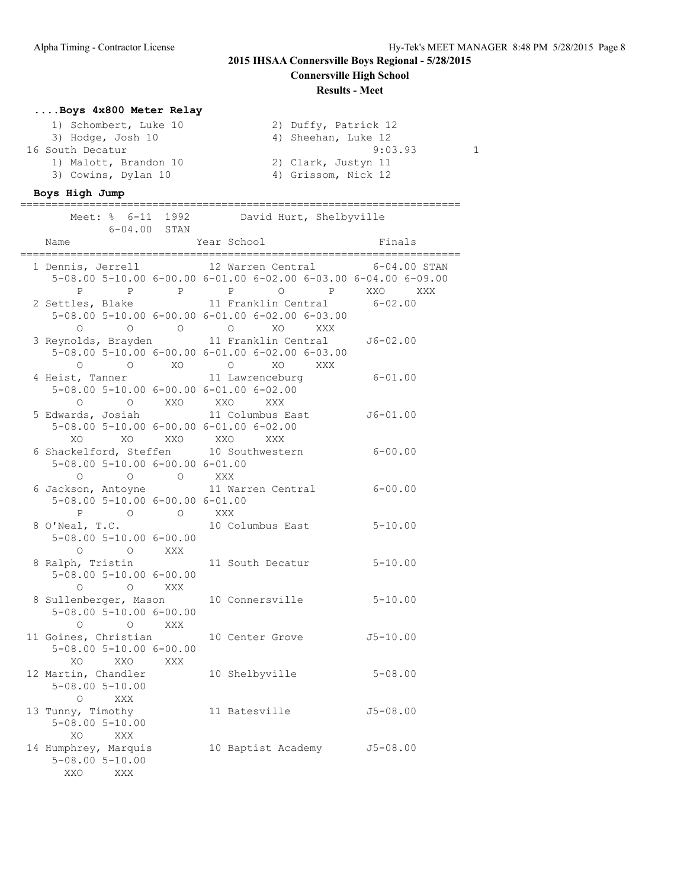**Results - Meet**

## **....Boys 4x800 Meter Relay**

| 1) Schombert, Luke 10 | 2) Duffy, Patrick 12 |  |
|-----------------------|----------------------|--|
| 3) Hodge, Josh 10     | 4) Sheehan, Luke 12  |  |
| 16 South Decatur      | 9:03.93              |  |
| 1) Malott, Brandon 10 | 2) Clark, Justyn 11  |  |
| 3) Cowins, Dylan 10   | 4) Grissom, Nick 12  |  |

#### **Boys High Jump** ======================================================================

| $6 - 04.00$ STAN                                                                                                                                                                                                                                                                                                   | Meet: % 6-11 1992 David Hurt, Shelbyville                                                                                                                                                                                                                                  |                  |
|--------------------------------------------------------------------------------------------------------------------------------------------------------------------------------------------------------------------------------------------------------------------------------------------------------------------|----------------------------------------------------------------------------------------------------------------------------------------------------------------------------------------------------------------------------------------------------------------------------|------------------|
| Name                                                                                                                                                                                                                                                                                                               | Year School                                                                                                                                                                                                                                                                | Finals           |
| 1 Dennis, Jerrell                                                                                                                                                                                                                                                                                                  | 12 Warren Central<br>5-08.00 5-10.00 6-00.00 6-01.00 6-02.00 6-03.00 6-04.00 6-09.00<br>P P P P O P XXO XXX                                                                                                                                                                | $6 - 04.00$ STAN |
| 2 Settles, Blake 11 Franklin Central 6-02.00<br>$\circ$                                                                                                                                                                                                                                                            | 5-08.00 5-10.00 6-00.00 6-01.00 6-02.00 6-03.00<br>O O O XO XXX                                                                                                                                                                                                            |                  |
| 3 Reynolds, Brayden 11 Franklin Central J6-02.00                                                                                                                                                                                                                                                                   | 5-08.00 5-10.00 6-00.00 6-01.00 6-02.00 6-03.00<br>$\begin{matrix} \mathsf{O} \qquad \qquad & \mathsf{O} \qquad \qquad & \mathsf{X}\mathsf{O} \qquad \qquad & \mathsf{O} \qquad \qquad & \mathsf{X}\mathsf{O} \qquad \qquad & \mathsf{X}\mathsf{X}\mathsf{X} \end{matrix}$ |                  |
| 4 Heist, Tanner 11 Lawrenceburg<br>5-08.00 5-10.00 6-00.00 6-01.00 6-02.00<br>$\begin{matrix}0\\ 0\\ \end{matrix} \qquad \qquad \begin{matrix}0\\ \end{matrix} \qquad \qquad \begin{matrix}XX\,0\\ \end{matrix} \qquad \qquad \begin{matrix}XX\,0\\ \end{matrix} \qquad \qquad \begin{matrix}XX\,X\\ \end{matrix}$ |                                                                                                                                                                                                                                                                            | $6 - 01.00$      |
| 5 Edwards, Josiah<br>5-08.00 5-10.00 6-00.00 6-01.00 6-02.00<br>XO XXO XXO XXX<br>XO                                                                                                                                                                                                                               | 11 Columbus East J6-01.00                                                                                                                                                                                                                                                  |                  |
| 6 Shackelford, Steffen 10 Southwestern<br>$5-08.00$ $5-10.00$ $6-00.00$ $6-01.00$<br>0 0 0 XXX                                                                                                                                                                                                                     |                                                                                                                                                                                                                                                                            | $6 - 00.00$      |
| 6 Jackson, Antoyne<br>5-08.00 5-10.00 6-00.00 6-01.00<br>P O O XXX                                                                                                                                                                                                                                                 | 11 Warren Central                                                                                                                                                                                                                                                          | $6 - 00.00$      |
| 8 O'Neal, T.C.<br>$5 - 08.00$ $5 - 10.00$ $6 - 00.00$<br>O O XXX                                                                                                                                                                                                                                                   | 10 Columbus East                                                                                                                                                                                                                                                           | $5 - 10.00$      |
| 8 Ralph, Tristin<br>$5 - 08.00$ $5 - 10.00$ $6 - 00.00$<br>O O XXX                                                                                                                                                                                                                                                 | 11 South Decatur                                                                                                                                                                                                                                                           | $5 - 10.00$      |
| 8 Sullenberger, Mason<br>$5 - 08.00$ $5 - 10.00$ $6 - 00.00$<br>O O XXX                                                                                                                                                                                                                                            | 10 Connersville                                                                                                                                                                                                                                                            | $5 - 10.00$      |
| 11 Goines, Christian<br>$5 - 08.00$ $5 - 10.00$ $6 - 00.00$<br>XO XXO XXX                                                                                                                                                                                                                                          | 10 Center Grove                                                                                                                                                                                                                                                            | $J5 - 10.00$     |
| 12 Martin, Chandler<br>$5 - 08.00$ $5 - 10.00$<br>$\Omega$ XXX                                                                                                                                                                                                                                                     | 10 Shelbyville                                                                                                                                                                                                                                                             | $5 - 08.00$      |
| 13 Tunny, Timothy<br>$5 - 08.00$ $5 - 10.00$<br>XO<br><b>XXX</b>                                                                                                                                                                                                                                                   | 11 Batesville                                                                                                                                                                                                                                                              | $J5 - 08.00$     |
| 14 Humphrey, Marquis<br>$5 - 08.00$ $5 - 10.00$<br>XXO<br>XXX                                                                                                                                                                                                                                                      | 10 Baptist Academy J5-08.00                                                                                                                                                                                                                                                |                  |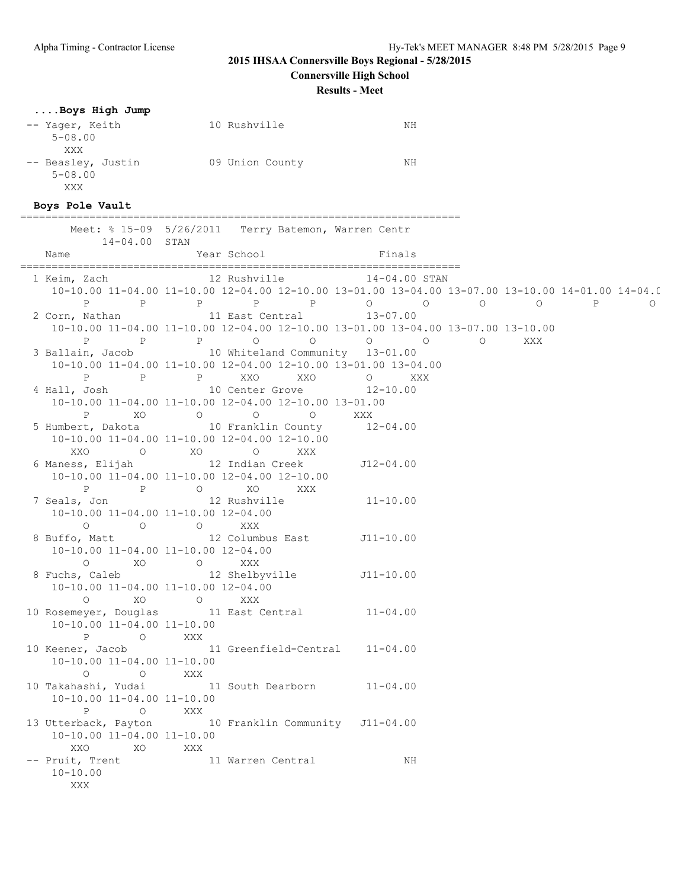**Connersville High School**

**Results - Meet**

#### **....Boys High Jump**

| -- Yager, Keith<br>$5 - 08.00$ | 10 Rushville    | ΝH |  |
|--------------------------------|-----------------|----|--|
| XXX                            |                 |    |  |
| -- Beasley, Justin             | 09 Union County | NΗ |  |
| $5 - 08.00$                    |                 |    |  |
| XXX                            |                 |    |  |
| Boys Pole Vault                |                 |    |  |

#### ====================================================================== Meet: % 15-09 5/26/2011 Terry Batemon, Warren Centr 14-04.00 STAN Name Year School Finals ====================================================================== 1 Keim, Zach 12 Rushville 14-04.00 STAN 10-10.00 11-04.00 11-10.00 12-04.00 12-10.00 13-01.00 13-04.00 13-07.00 13-10.00 14-01.00 14-04.00 15-01.00 P P P P P O O O O P O 2 Corn, Nathan 11 East Central 13-07.00 10-10.00 11-04.00 11-10.00 12-04.00 12-10.00 13-01.00 13-04.00 13-07.00 13-10.00 P P P O O O O O XXX 3 Ballain, Jacob 10 Whiteland Community 13-01.00 10-10.00 11-04.00 11-10.00 12-04.00 12-10.00 13-01.00 13-04.00 P P P XXO XXO O XXX 4 Hall, Josh 10 Center Grove 12-10.00 10-10.00 11-04.00 11-10.00 12-04.00 12-10.00 13-01.00 P XO O O O XXX 5 Humbert, Dakota 10 Franklin County 12-04.00 10-10.00 11-04.00 11-10.00 12-04.00 12-10.00 XXO O XO O XXX 6 Maness, Elijah 12 Indian Creek J12-04.00 10-10.00 11-04.00 11-10.00 12-04.00 12-10.00 P P O XO XXX 7 Seals, Jon 12 Rushville 11-10.00 10-10.00 11-04.00 11-10.00 12-04.00 O O O XXX 8 Buffo, Matt 12 Columbus East J11-10.00 10-10.00 11-04.00 11-10.00 12-04.00 O XO O XXX 8 Fuchs, Caleb 12 Shelbyville 511-10.00 10-10.00 11-04.00 11-10.00 12-04.00 O XO O XXX 10 Rosemeyer, Douglas 11 East Central 11-04.00 10-10.00 11-04.00 11-10.00 P O XXX 10 Keener, Jacob 11 Greenfield-Central 11-04.00 10-10.00 11-04.00 11-10.00 O O XXX 10 Takahashi, Yudai 11 South Dearborn 11-04.00 10-10.00 11-04.00 11-10.00 P O XXX 13 Utterback, Payton 10 Franklin Community J11-04.00 10-10.00 11-04.00 11-10.00 XXO XO XXX -- Pruit, Trent 11 Warren Central NH 10-10.00

XXX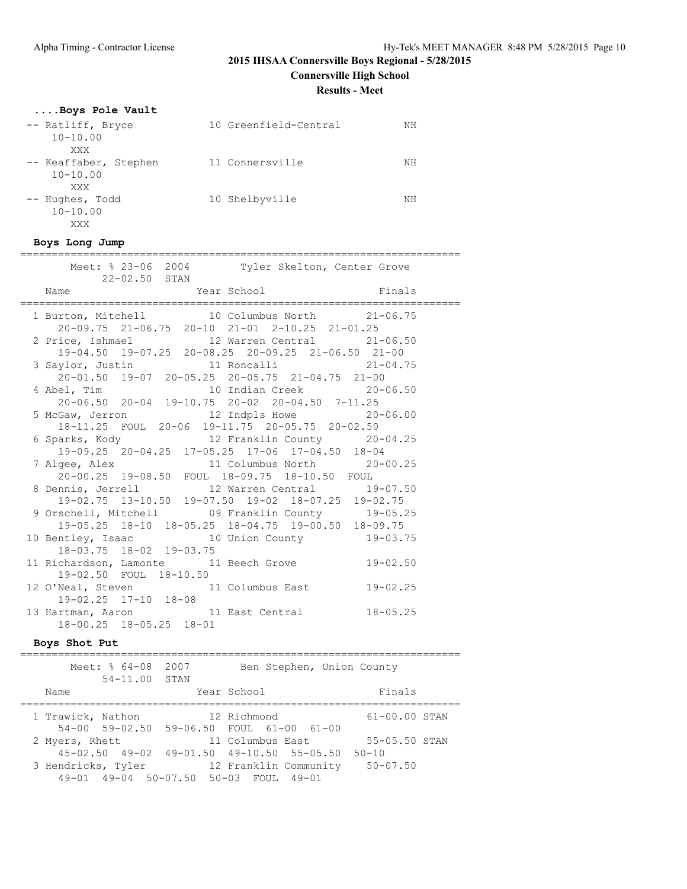**Connersville High School**

**Results - Meet**

## **....Boys Pole Vault**

| -- Ratliff, Bryce     | 10 Greenfield-Central | NΗ |
|-----------------------|-----------------------|----|
| $10 - 10.00$          |                       |    |
| XXX                   |                       |    |
| -- Keaffaber, Stephen | 11 Connersville       | ΝH |
| $10 - 10.00$          |                       |    |
| XXX                   |                       |    |
| -- Hughes, Todd       | 10 Shelbyville        | NΗ |
| $10 - 10.00$          |                       |    |
| XXX                   |                       |    |

#### **Boys Long Jump**

## ====================================================================== Meet: % 23-06 2004 Tyler Skelton, Center Grove

| 22-02.50 STAN                       |                                                                                           |  |
|-------------------------------------|-------------------------------------------------------------------------------------------|--|
| Name                                | Year School Finals                                                                        |  |
|                                     | 1 Burton, Mitchell 10 Columbus North 21-06.75                                             |  |
|                                     | 20-09.75 21-06.75 20-10 21-01 2-10.25 21-01.25                                            |  |
|                                     | 2 Price, Ishmael 12 Warren Central 21-06.50                                               |  |
|                                     | 19-04.50 19-07.25 20-08.25 20-09.25 21-06.50 21-00                                        |  |
|                                     | 3 Saylor, Justin 11 Roncalli 21-04.75                                                     |  |
|                                     | 20-01.50 19-07 20-05.25 20-05.75 21-04.75 21-00                                           |  |
|                                     | 4 Abel, Tim 10 Indian Creek 20-06.50<br>20-06.50 20-04 19-10.75 20-02 20-04.50 7-11.25    |  |
|                                     |                                                                                           |  |
|                                     | 5 McGaw, Jerron 12 Indpls Howe 20-06.00<br>18-11.25 FOUL 20-06 19-11.75 20-05.75 20-02.50 |  |
|                                     |                                                                                           |  |
|                                     | 6 Sparks, Kody 12 Franklin County 20-04.25                                                |  |
|                                     | 19-09.25 20-04.25 17-05.25 17-06 17-04.50 18-04                                           |  |
|                                     | 7 Algee, Alex 11 Columbus North 20-00.25<br>20-00.25 19-08.50 FOUL 18-09.75 18-10.50 FOUL |  |
|                                     |                                                                                           |  |
|                                     | 8 Dennis, Jerrell 12 Warren Central 19-07.50                                              |  |
|                                     | 19-02.75 13-10.50 19-07.50 19-02 18-07.25 19-02.75                                        |  |
|                                     | 9 Orschell, Mitchell (09 Franklin County 19-05.25)                                        |  |
|                                     | 19-05.25 18-10 18-05.25 18-04.75 19-00.50 18-09.75                                        |  |
|                                     | 10 Bentley, Isaac 10 Union County 19-03.75<br>18-03.75 18-02 19-03.75                     |  |
|                                     |                                                                                           |  |
|                                     | 11 Richardson, Lamonte 11 Beech Grove 19-02.50                                            |  |
| 19-02.50 FOUL 18-10.50              |                                                                                           |  |
|                                     | 12 O'Neal, Steven 11 Columbus East 19-02.25                                               |  |
| 19-02.25 17-10 18-08                |                                                                                           |  |
|                                     | 13 Hartman, Aaron 11 East Central 18-05.25                                                |  |
| $18 - 00.25$ $18 - 05.25$ $18 - 01$ |                                                                                           |  |

## **Boys Shot Put**

| Meet: % 64-08<br>54-11.00 STAN        | 2007 | Ben Stephen, Union County                       |                   |
|---------------------------------------|------|-------------------------------------------------|-------------------|
| Name                                  |      | Year School                                     | Finals            |
| 1 Trawick, Nathon                     |      | 12 Richmond                                     | $61 - 00.00$ STAN |
|                                       |      | 54-00 59-02.50 59-06.50 FOUL 61-00 61-00        |                   |
| 2 Myers, Rhett                        |      | 11 Columbus East                                | 55-05.50 STAN     |
|                                       |      | 45-02.50 49-02 49-01.50 49-10.50 55-05.50 50-10 |                   |
| 3 Hendricks, Tyler                    |      | 12 Franklin Community                           | $50 - 07.50$      |
| 49-01 49-04 50-07.50 50-03 FOUL 49-01 |      |                                                 |                   |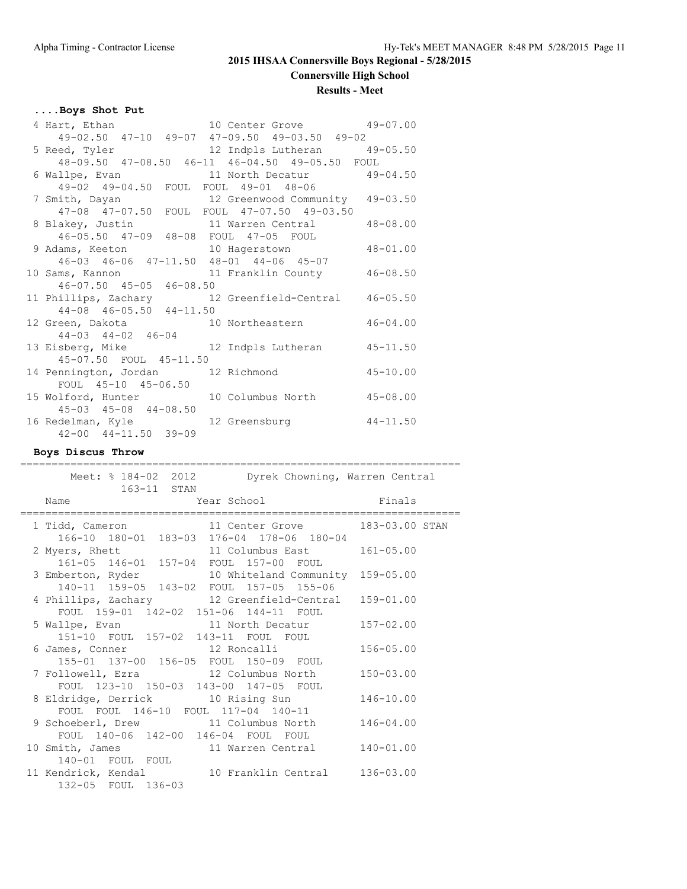**Connersville High School**

## **Results - Meet**

## **....Boys Shot Put**

| 4 Hart, Ethan 10 Center Grove 49-07.00<br>49-02.50 47-10 49-07 47-09.50 49-03.50 49-02 |                                 |              |
|----------------------------------------------------------------------------------------|---------------------------------|--------------|
|                                                                                        |                                 |              |
| 5 Reed, Tyler 12 Indpls Lutheran 49-05.50                                              |                                 |              |
| 48-09.50 47-08.50 46-11 46-04.50 49-05.50 FOUL                                         |                                 |              |
| 6 Wallpe, Evan March Decatur 49-04.50                                                  |                                 |              |
| 49-02 49-04.50 FOUL FOUL 49-01 48-06                                                   |                                 |              |
| 7 Smith, Dayan                                                                         | 12 Greenwood Community 49-03.50 |              |
| 47-08 47-07.50 FOUL FOUL 47-07.50 49-03.50                                             |                                 |              |
| 8 Blakey, Justin 11 Warren Central 48-08.00                                            |                                 |              |
| 46-05.50 47-09 48-08 FOUL 47-05 FOUL                                                   |                                 |              |
| 9 Adams, Keeton 10 Hagerstown 48-01.00                                                 |                                 |              |
| 46-03 46-06 47-11.50 48-01 44-06 45-07                                                 |                                 |              |
| 10 Sams, Kannon 11 Franklin County                                                     |                                 | $46 - 08.50$ |
| $46 - 07.50$ $45 - 05$ $46 - 08.50$                                                    |                                 |              |
| 11 Phillips, Zachary 12 Greenfield-Central 46-05.50                                    |                                 |              |
| 44-08 46-05.50 44-11.50                                                                |                                 |              |
| 12 Green, Dakota 10 Northeastern 46-04.00                                              |                                 |              |
| $44-03$ $44-02$ $46-04$                                                                |                                 |              |
| 13 Eisberg, Mike 12 Indpls Lutheran 45-11.50                                           |                                 |              |
| 45-07.50 FOUL 45-11.50                                                                 |                                 |              |
| 14 Pennington, Jordan 12 Richmond                                                      | $45 - 10.00$                    |              |
| FOUL 45-10 45-06.50                                                                    |                                 |              |
| 15 Wolford, Hunter                                                                     | 10 Columbus North 45-08.00      |              |
| $45 - 03$ $45 - 08$ $44 - 08.50$                                                       |                                 |              |
| 16 Redelman, Kyle                                                                      | 12 Greensburg 44-11.50          |              |
| $42 - 00$ $44 - 11.50$ $39 - 09$                                                       |                                 |              |

### **Boys Discus Throw**

| Meet: % 184-02 2012<br>Dyrek Chowning, Warren Central<br>163-11 STAN                                                  |               |
|-----------------------------------------------------------------------------------------------------------------------|---------------|
| <b>Example 2</b> Year School School School Binals<br>Name<br>------------------------------<br>====================== |               |
| 1 Tidd, Cameron 11 Center Grove 183-03.00 STAN<br>166-10 180-01 183-03 176-04 178-06 180-04                           |               |
| 11 Columbus East 161-05.00<br>2 Myers, Rhett<br>161-05 146-01 157-04 FOUL 157-00 FOUL                                 |               |
| 3 Emberton, Ryder 10 Whiteland Community 159-05.00<br>140-11 159-05 143-02 FOUL 157-05 155-06                         |               |
| 4 Phillips, Zachary 12 Greenfield-Central 159-01.00<br>FOUL 159-01 142-02 151-06 144-11 FOUL                          |               |
| 5 Wallpe, Evan 11 North Decatur 157-02.00<br>151-10 FOUL 157-02 143-11 FOUL FOUL                                      |               |
| 6 James, Conner 12 Roncalli<br>155-01 137-00 156-05 FOUL 150-09 FOUL                                                  | $156 - 05.00$ |
| 7 Followell, Ezra 12 Columbus North 150-03.00<br>FOUL 123-10 150-03 143-00 147-05 FOUL                                |               |
| 8 Eldridge, Derrick 10 Rising Sun                                                                                     | $146 - 10.00$ |
| FOUL FOUL 146-10 FOUL 117-04 140-11<br>9 Schoeberl, Drew 11 Columbus North                                            | $146 - 04.00$ |
| FOUL 140-06 142-00 146-04 FOUL FOUL<br>10 Smith, James 11 Warren Central 140-01.00                                    |               |
| 140-01 FOUL FOUL<br>11 Kendrick, Kendal 10 Franklin Central 136-03.00<br>132-05 FOUL 136-03                           |               |